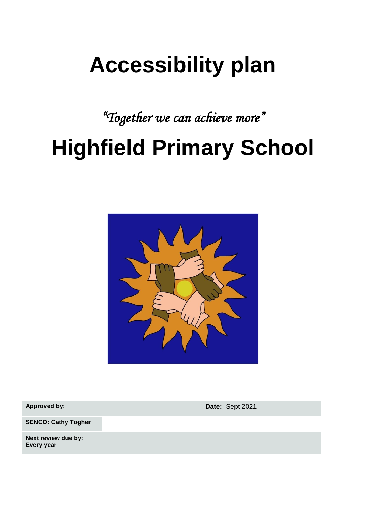## **Accessibility plan**

*"Together we can achieve more"*

# **Highfield Primary School**



**Approved by: Date:** Sept 2021

**SENCO: Cathy Togher**

**Next review due by: Every year**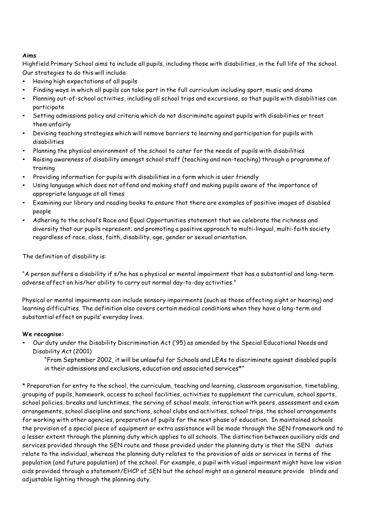### **Aims**

Highfield Primary School aims to include all pupils, including those with disabilities, in the full life of the school. Our strategies to do this will include:

- Having high expectations of all pupils
- Finding ways in which all pupils can take part in the full curriculum including sport, music and drama
- Planning out-of-school activities, including all school trips and excursions, so that pupils with disabilities can participate
- Setting admissions policy and criteria which do not discriminate against pupils with disabilities or treat them unfairly
- Devising teaching strategies which will remove barriers to learning and participation for pupils with disabilities
- Planning the physical environment of the school to cater for the needs of pupils with disabilities
- Raising awareness of disability amongst school staff (teaching and non-teaching) through a programme of training
- Providing information for pupils with disabilities in a form which is user friendly
- Using language which does not offend and making staff and making pupils aware of the importance of appropriate language at all times
- Examining our library and reading books to ensure that there are examples of positive images of disabled people
- Adhering to the school's Race and Equal Opportunities statement that we celebrate the richness and diversity that our pupils represent; and promoting a positive approach to multi-lingual, multi-faith society regardless of race, class, faith, disability, age, gender or sexual orientation.

The definition of disability is:

"A person suffers a disability if s/he has a physical or mental impairment that has a substantial and long-term adverse affect on his/her ability to carry out normal day-to-day activities."

Physical or mental impairments can include sensory impairments (such as those affecting sight or hearing) and learning difficulties. The definition also covers certain medical conditions when they have a long-term and substantial effect on pupils' everyday lives.

### **We recognise:**

• Our duty under the Disability Discrimination Act ('95) as amended by the Special Educational Needs and Disability Act (2001)

"From September 2002, it will be unlawful for Schools and LEAs to discriminate against disabled pupils in their admissions and exclusions, education and associated services\*"

\* Preparation for entry to the school, the curriculum, teaching and learning, classroom organisation, timetabling, grouping of pupils, homework, access to school facilities, activities to supplement the curriculum, school sports, school policies, breaks and lunchtimes, the serving of school meals, interaction with peers, assessment and exam arrangements, school discipline and sanctions, school clubs and activities, school trips, the school arrangements for working with other agencies, preparation of pupils for the next phase of education. In maintained schools the provision of a special piece of equipment or extra assistance will be made through the SEN framework and to a lesser extent through the planning duty which applies to all schools. The distinction between auxiliary aids and services provided through the SEN route and those provided under the planning duty is that the SEN duties relate to the individual, whereas the planning duty relates to the provision of aids or services in terms of the population (and future population) of the school. For example, a pupil with visual impairment might have low vision aids provided through a statement/EHCP of SEN but the school might as a general measure provide blinds and adjustable lighting through the planning duty.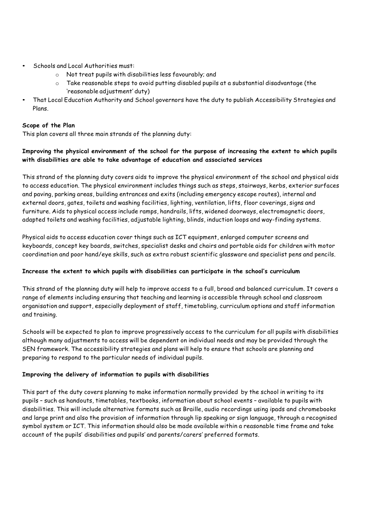- Schools and Local Authorities must:
	- o Not treat pupils with disabilities less favourably; and
	- $\circ$  Take reasonable steps to avoid putting disabled pupils at a substantial disadvantage (the 'reasonable adjustment' duty)
- That Local Education Authority and School governors have the duty to publish Accessibility Strategies and Plans.

### **Scope of the Plan**

This plan covers all three main strands of the planning duty:

## **Improving the physical environment of the school for the purpose of increasing the extent to which pupils with disabilities are able to take advantage of education and associated services**

This strand of the planning duty covers aids to improve the physical environment of the school and physical aids to access education. The physical environment includes things such as steps, stairways, kerbs, exterior surfaces and paving, parking areas, building entrances and exits (including emergency escape routes), internal and external doors, gates, toilets and washing facilities, lighting, ventilation, lifts, floor coverings, signs and furniture. Aids to physical access include ramps, handrails, lifts, widened doorways, electromagnetic doors, adapted toilets and washing facilities, adjustable lighting, blinds, induction loops and way-finding systems.

Physical aids to access education cover things such as ICT equipment, enlarged computer screens and keyboards, concept key boards, switches, specialist desks and chairs and portable aids for children with motor coordination and poor hand/eye skills, such as extra robust scientific glassware and specialist pens and pencils.

### **Increase the extent to which pupils with disabilities can participate in the school's curriculum**

This strand of the planning duty will help to improve access to a full, broad and balanced curriculum. It covers a range of elements including ensuring that teaching and learning is accessible through school and classroom organisation and support, especially deployment of staff, timetabling, curriculum options and staff information and training.

Schools will be expected to plan to improve progressively access to the curriculum for all pupils with disabilities although many adjustments to access will be dependent on individual needs and may be provided through the SEN framework. The accessibility strategies and plans will help to ensure that schools are planning and preparing to respond to the particular needs of individual pupils.

### **Improving the delivery of information to pupils with disabilities**

This part of the duty covers planning to make information normally provided by the school in writing to its pupils – such as handouts, timetables, textbooks, information about school events – available to pupils with disabilities. This will include alternative formats such as Braille, audio recordings using ipads and chromebooks and large print and also the provision of information through lip speaking or sign language, through a recognised symbol system or ICT. This information should also be made available within a reasonable time frame and take account of the pupils' disabilities and pupils' and parents/carers' preferred formats.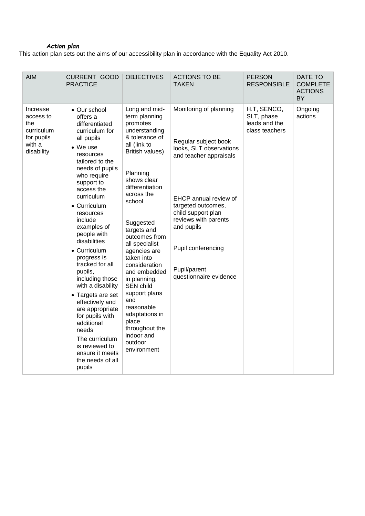#### *Action plan*

This action plan sets out the aims of our accessibility plan in accordance with the Equality Act 2010.

| <b>AIM</b>                                                                       | <b>CURRENT GOOD</b><br><b>PRACTICE</b>                                                                                                                                                                                                                                                                                                                                                                                                                                                                                                                                                  | <b>OBJECTIVES</b>                                                                                                                                                                                                                                                                                                                                                                                                                                                            | <b>ACTIONS TO BE</b><br><b>TAKEN</b>                                                                                                                                                                                                                                           | <b>PERSON</b><br><b>RESPONSIBLE</b>                          | DATE TO<br><b>COMPLETE</b><br><b>ACTIONS</b><br>BY |
|----------------------------------------------------------------------------------|-----------------------------------------------------------------------------------------------------------------------------------------------------------------------------------------------------------------------------------------------------------------------------------------------------------------------------------------------------------------------------------------------------------------------------------------------------------------------------------------------------------------------------------------------------------------------------------------|------------------------------------------------------------------------------------------------------------------------------------------------------------------------------------------------------------------------------------------------------------------------------------------------------------------------------------------------------------------------------------------------------------------------------------------------------------------------------|--------------------------------------------------------------------------------------------------------------------------------------------------------------------------------------------------------------------------------------------------------------------------------|--------------------------------------------------------------|----------------------------------------------------|
| Increase<br>access to<br>the<br>curriculum<br>for pupils<br>with a<br>disability | • Our school<br>offers a<br>differentiated<br>curriculum for<br>all pupils<br>• We use<br>resources<br>tailored to the<br>needs of pupils<br>who require<br>support to<br>access the<br>curriculum<br>• Curriculum<br>resources<br>include<br>examples of<br>people with<br>disabilities<br>• Curriculum<br>progress is<br>tracked for all<br>pupils,<br>including those<br>with a disability<br>• Targets are set<br>effectively and<br>are appropriate<br>for pupils with<br>additional<br>needs<br>The curriculum<br>is reviewed to<br>ensure it meets<br>the needs of all<br>pupils | Long and mid-<br>term planning<br>promotes<br>understanding<br>& tolerance of<br>all (link to<br>British values)<br>Planning<br>shows clear<br>differentiation<br>across the<br>school<br>Suggested<br>targets and<br>outcomes from<br>all specialist<br>agencies are<br>taken into<br>consideration<br>and embedded<br>in planning,<br>SEN child<br>support plans<br>and<br>reasonable<br>adaptations in<br>place<br>throughout the<br>indoor and<br>outdoor<br>environment | Monitoring of planning<br>Regular subject book<br>looks, SLT observations<br>and teacher appraisals<br>EHCP annual review of<br>targeted outcomes,<br>child support plan<br>reviews with parents<br>and pupils<br>Pupil conferencing<br>Pupil/parent<br>questionnaire evidence | H.T, SENCO,<br>SLT, phase<br>leads and the<br>class teachers | Ongoing<br>actions                                 |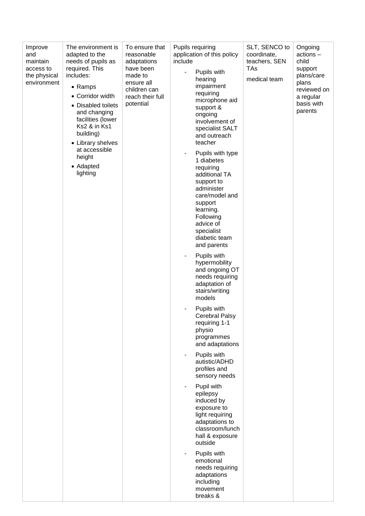| Improve<br>and<br>maintain<br>access to<br>the physical<br>environment | The environment is<br>adapted to the<br>needs of pupils as<br>required. This<br>includes:<br>• Ramps<br>• Corridor width<br>• Disabled toilets<br>and changing<br>facilities (lower<br>Ks2 & in Ks1<br>building)<br>• Library shelves<br>at accessible<br>height<br>• Adapted<br>lighting | To ensure that<br>reasonable<br>adaptations<br>have been<br>made to<br>ensure all<br>children can<br>reach their full<br>potential | Pupils requiring<br>application of this policy<br>include<br>Pupils with<br>hearing<br>impairment<br>requiring<br>microphone aid<br>support &<br>ongoing<br>involvement of<br>specialist SALT<br>and outreach<br>teacher<br>Pupils with type<br>٠<br>1 diabetes<br>requiring<br>additional TA<br>support to<br>administer<br>care/model and<br>support<br>learning.<br>Following<br>advice of<br>specialist<br>diabetic team<br>and parents<br>Pupils with<br>٠<br>hypermobility<br>and ongoing OT<br>needs requiring<br>adaptation of<br>stairs/writing<br>models<br>Pupils with<br>Cerebral Palsy<br>requiring 1-1<br>physio<br>programmes<br>and adaptations<br>Pupils with<br>۰<br>autistic/ADHD<br>profiles and<br>sensory needs<br>Pupil with<br>epilepsy<br>induced by<br>exposure to<br>light requiring<br>adaptations to<br>classroom/lunch<br>hall & exposure<br>outside<br>Pupils with | SLT, SENCO to<br>coordinate,<br>teachers, SEN<br>TAs<br>medical team | Ongoing<br>$actions -$<br>child<br>support<br>plans/care<br>plans<br>reviewed on<br>a regular<br>basis with<br>parents |
|------------------------------------------------------------------------|-------------------------------------------------------------------------------------------------------------------------------------------------------------------------------------------------------------------------------------------------------------------------------------------|------------------------------------------------------------------------------------------------------------------------------------|---------------------------------------------------------------------------------------------------------------------------------------------------------------------------------------------------------------------------------------------------------------------------------------------------------------------------------------------------------------------------------------------------------------------------------------------------------------------------------------------------------------------------------------------------------------------------------------------------------------------------------------------------------------------------------------------------------------------------------------------------------------------------------------------------------------------------------------------------------------------------------------------------|----------------------------------------------------------------------|------------------------------------------------------------------------------------------------------------------------|
|                                                                        |                                                                                                                                                                                                                                                                                           |                                                                                                                                    | emotional<br>needs requiring<br>adaptations<br>including<br>movement<br>breaks &                                                                                                                                                                                                                                                                                                                                                                                                                                                                                                                                                                                                                                                                                                                                                                                                                  |                                                                      |                                                                                                                        |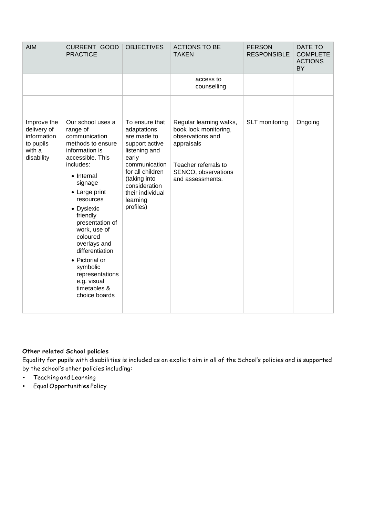| <b>AIM</b>                                                                     | <b>CURRENT GOOD</b><br><b>PRACTICE</b>                                                                                                                                                                                                                                                                                                                                                     | <b>OBJECTIVES</b>                                                                                                                                                                                           | <b>ACTIONS TO BE</b><br><b>TAKEN</b>                                                                                                                  | <b>PERSON</b><br><b>RESPONSIBLE</b> | <b>DATE TO</b><br><b>COMPLETE</b><br><b>ACTIONS</b><br><b>BY</b> |
|--------------------------------------------------------------------------------|--------------------------------------------------------------------------------------------------------------------------------------------------------------------------------------------------------------------------------------------------------------------------------------------------------------------------------------------------------------------------------------------|-------------------------------------------------------------------------------------------------------------------------------------------------------------------------------------------------------------|-------------------------------------------------------------------------------------------------------------------------------------------------------|-------------------------------------|------------------------------------------------------------------|
|                                                                                |                                                                                                                                                                                                                                                                                                                                                                                            |                                                                                                                                                                                                             | access to<br>counselling                                                                                                                              |                                     |                                                                  |
| Improve the<br>delivery of<br>information<br>to pupils<br>with a<br>disability | Our school uses a<br>range of<br>communication<br>methods to ensure<br>information is<br>accessible. This<br>includes:<br>• Internal<br>signage<br>• Large print<br>resources<br>• Dyslexic<br>friendly<br>presentation of<br>work, use of<br>coloured<br>overlays and<br>differentiation<br>• Pictorial or<br>symbolic<br>representations<br>e.g. visual<br>timetables &<br>choice boards | To ensure that<br>adaptations<br>are made to<br>support active<br>listening and<br>early<br>communication<br>for all children<br>(taking into<br>consideration<br>their individual<br>learning<br>profiles) | Regular learning walks,<br>book look monitoring,<br>observations and<br>appraisals<br>Teacher referrals to<br>SENCO, observations<br>and assessments. | SLT monitoring                      | Ongoing                                                          |

## **Other related School policies**

Equality for pupils with disabilities is included as an explicit aim in all of the School's policies and is supported by the school's other policies including:

- Teaching and Learning
- Equal Opportunities Policy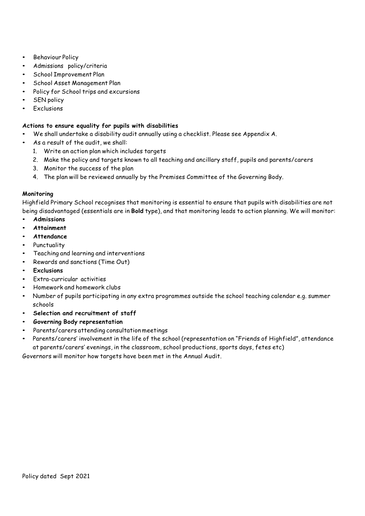- Behaviour Policy
- Admissions policy/criteria
- School Improvement Plan
- School Asset Management Plan
- Policy for School trips and excursions
- **SEN** policy
- **Exclusions**

#### **Actions to ensure equality for pupils with disabilities**

- We shall undertake a disability audit annually using a checklist. Please see Appendix A.
- As a result of the audit, we shall:
	- 1. Write an action plan which includes targets
	- 2. Make the policy and targets known to all teaching and ancillary staff, pupils and parents/carers
	- 3. Monitor the success of the plan
	- 4. The plan will be reviewed annually by the Premises Committee of the Governing Body.

#### **Monitoring**

Highfield Primary School recognises that monitoring is essential to ensure that pupils with disabilities are not being disadvantaged (essentials are in **Bold** type), and that monitoring leads to action planning. We will monitor:

- **Admissions**
- **Attainment**
- **Attendance**
- Punctuality
- Teaching and learning and interventions
- Rewards and sanctions (Time Out)
- **Exclusions**
- Extra-curricular activities
- Homework and homework clubs
- Number of pupils participating in any extra programmes outside the school teaching calendar e.g. summer schools
- **Selection and recruitment of staff**
- **Governing Body representation**
- Parents/carers attending consultation meetings
- Parents/carers' involvement in the life of the school (representation on "Friends of Highfield", attendance at parents/carers' evenings, in the classroom, school productions, sports days, fetes etc)

Governors will monitor how targets have been met in the Annual Audit.